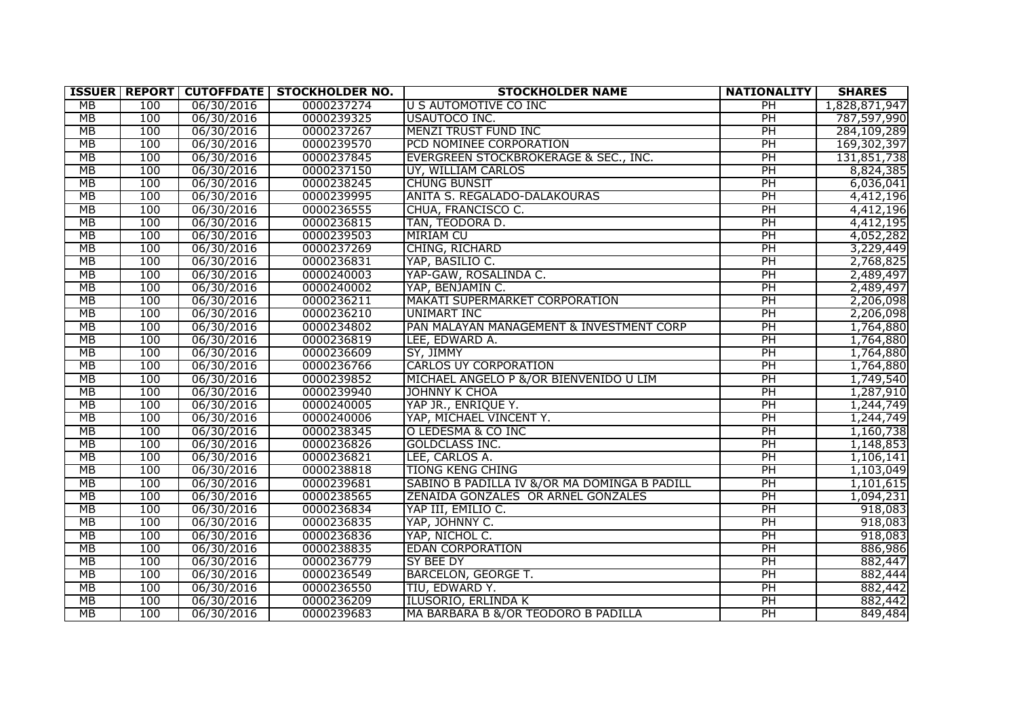|    |     |            | <b>ISSUER   REPORT   CUTOFFDATE   STOCKHOLDER NO.</b> | <b>STOCKHOLDER NAME</b>                      | <b>NATIONALITY</b> | <b>SHARES</b> |
|----|-----|------------|-------------------------------------------------------|----------------------------------------------|--------------------|---------------|
| MB | 100 | 06/30/2016 | 0000237274                                            | <b>U S AUTOMOTIVE CO INC</b>                 | PH                 | 1,828,871,947 |
| MB | 100 | 06/30/2016 | 0000239325                                            | USAUTOCO INC.                                | PH                 | 787,597,990   |
| MB | 100 | 06/30/2016 | 0000237267                                            | <b>MENZI TRUST FUND INC</b>                  | PH                 | 284,109,289   |
| MB | 100 | 06/30/2016 | 0000239570                                            | <b>PCD NOMINEE CORPORATION</b>               | PH                 | 169,302,397   |
| MB | 100 | 06/30/2016 | 0000237845                                            | EVERGREEN STOCKBROKERAGE & SEC., INC.        | PH                 | 131,851,738   |
| MB | 100 | 06/30/2016 | 0000237150                                            | UY, WILLIAM CARLOS                           | PH                 | 8,824,385     |
| MB | 100 | 06/30/2016 | 0000238245                                            | <b>CHUNG BUNSIT</b>                          | PH                 | 6,036,041     |
| MB | 100 | 06/30/2016 | 0000239995                                            | <b>ANITA S. REGALADO-DALAKOURAS</b>          | PH                 | 4,412,196     |
| MB | 100 | 06/30/2016 | 0000236555                                            | CHUA, FRANCISCO C.                           | PH                 | 4,412,196     |
| MB | 100 | 06/30/2016 | 0000236815                                            | TAN, TEODORA D.                              | PH                 | 4,412,195     |
| MB | 100 | 06/30/2016 | 0000239503                                            | <b>MIRIAM CU</b>                             | PH                 | 4,052,282     |
| MB | 100 | 06/30/2016 | 0000237269                                            | CHING, RICHARD                               | PH                 | 3,229,449     |
| MB | 100 | 06/30/2016 | 0000236831                                            | YAP, BASILIO C.                              | PH                 | 2,768,825     |
| МB | 100 | 06/30/2016 | 0000240003                                            | YAP-GAW, ROSALINDA C.                        | PH                 | 2,489,497     |
| MB | 100 | 06/30/2016 | 0000240002                                            | YAP, BENJAMIN C.                             | PH                 | 2,489,497     |
| MB | 100 | 06/30/2016 | 0000236211                                            | MAKATI SUPERMARKET CORPORATION               | PH                 | 2,206,098     |
| MB | 100 | 06/30/2016 | 0000236210                                            | UNIMART INC                                  | PH                 | 2,206,098     |
| MB | 100 | 06/30/2016 | 0000234802                                            | PAN MALAYAN MANAGEMENT & INVESTMENT CORP     | PH                 | 1,764,880     |
| MB | 100 | 06/30/2016 | 0000236819                                            | LEE, EDWARD A.                               | PH                 | 1,764,880     |
| MB | 100 | 06/30/2016 | 0000236609                                            | SY, JIMMY                                    | PH                 | 1,764,880     |
| MB | 100 | 06/30/2016 | 0000236766                                            | <b>CARLOS UY CORPORATION</b>                 | PH                 | 1,764,880     |
| MB | 100 | 06/30/2016 | 0000239852                                            | MICHAEL ANGELO P &/OR BIENVENIDO U LIM       | PH                 | 1,749,540     |
| MB | 100 | 06/30/2016 | 0000239940                                            | JOHNNY K CHOA                                | PH                 | 1,287,910     |
| MB | 100 | 06/30/2016 | 0000240005                                            | YAP JR., ENRIQUE Y.                          | PH                 | 1,244,749     |
| MB | 100 | 06/30/2016 | 0000240006                                            | YAP, MICHAEL VINCENT Y.                      | PH                 | 1,244,749     |
| MB | 100 | 06/30/2016 | 0000238345                                            | O LEDESMA & CO INC                           | PH                 | 1,160,738     |
| MB | 100 | 06/30/2016 | 0000236826                                            | <b>GOLDCLASS INC.</b>                        | PH                 | 1,148,853     |
| MB | 100 | 06/30/2016 | 0000236821                                            | LEE, CARLOS A.                               | PH                 | 1,106,141     |
| MB | 100 | 06/30/2016 | 0000238818                                            | <b>TIONG KENG CHING</b>                      | PH                 | 1,103,049     |
| MB | 100 | 06/30/2016 | 0000239681                                            | SABINO B PADILLA IV &/OR MA DOMINGA B PADILL | PH                 | 1,101,615     |
| MB | 100 | 06/30/2016 | 0000238565                                            | <b>ZENAIDA GONZALES OR ARNEL GONZALES</b>    | PH                 | 1,094,231     |
| MB | 100 | 06/30/2016 | 0000236834                                            | YAP III, EMILIO C.                           | PH                 | 918,083       |
| MB | 100 | 06/30/2016 | 0000236835                                            | YAP, JOHNNY C.                               | $\overline{PH}$    | 918,083       |
| MB | 100 | 06/30/2016 | 0000236836                                            | YAP, NICHOL C.                               | PH                 | 918,083       |
| MB | 100 | 06/30/2016 | 0000238835                                            | <b>EDAN CORPORATION</b>                      | PH                 | 886,986       |
| MB | 100 | 06/30/2016 | 0000236779                                            | <b>SY BEE DY</b>                             | PH                 | 882,447       |
| MB | 100 | 06/30/2016 | 0000236549                                            | <b>BARCELON, GEORGE T.</b>                   | PH                 | 882,444       |
| MB | 100 | 06/30/2016 | 0000236550                                            | TIU, EDWARD Y.                               | PH                 | 882,442       |
| MB | 100 | 06/30/2016 | 0000236209                                            | ILUSORIO, ERLINDA K                          | PH                 | 882,442       |
| MB | 100 | 06/30/2016 | 0000239683                                            | MA BARBARA B &/OR TEODORO B PADILLA          | PH                 | 849,484       |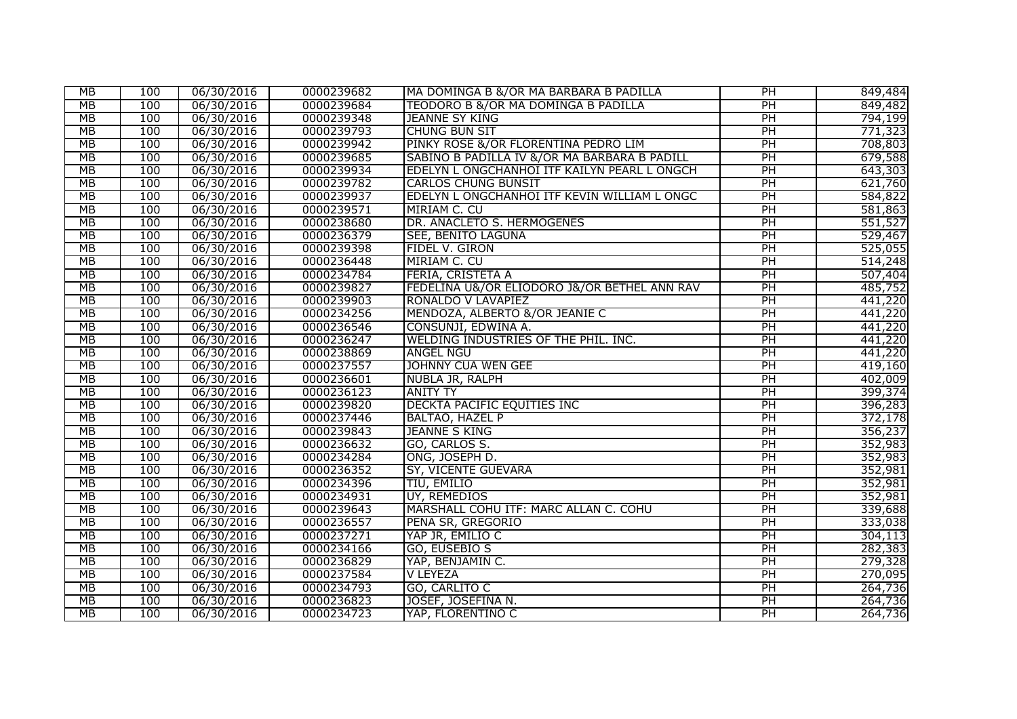| МB        | 100 | 06/30/2016 | 0000239682 | MA DOMINGA B &/OR MA BARBARA B PADILLA       | PH | 849,484 |
|-----------|-----|------------|------------|----------------------------------------------|----|---------|
| МB        | 100 | 06/30/2016 | 0000239684 | TEODORO B &/OR MA DOMINGA B PADILLA          | PH | 849,482 |
| МB        | 100 | 06/30/2016 | 0000239348 | JEANNE SY KING                               | PH | 794,199 |
| MB        | 100 | 06/30/2016 | 0000239793 | <b>CHUNG BUN SIT</b>                         | PH | 771,323 |
| MB        | 100 | 06/30/2016 | 0000239942 | PINKY ROSE &/OR FLORENTINA PEDRO LIM         | PH | 708,803 |
| MB        | 100 | 06/30/2016 | 0000239685 | SABINO B PADILLA IV &/OR MA BARBARA B PADILL | PH | 679,588 |
| МB        | 100 | 06/30/2016 | 0000239934 | EDELYN L ONGCHANHOI ITF KAILYN PEARL L ONGCH | PH | 643,303 |
| МB        | 100 | 06/30/2016 | 0000239782 | <b>CARLOS CHUNG BUNSIT</b>                   | PH | 621,760 |
| MB        | 100 | 06/30/2016 | 0000239937 | EDELYN L ONGCHANHOI ITF KEVIN WILLIAM L ONGC | PH | 584,822 |
| МB        | 100 | 06/30/2016 | 0000239571 | MIRIAM C. CU                                 | PH | 581,863 |
| MB        | 100 | 06/30/2016 | 0000238680 | DR. ANACLETO S. HERMOGENES                   | PH | 551,527 |
| MB        | 100 | 06/30/2016 | 0000236379 | SEE, BENITO LAGUNA                           | PH | 529,467 |
| MB        | 100 | 06/30/2016 | 0000239398 | FIDEL V. GIRON                               | PH | 525,055 |
| МB        | 100 | 06/30/2016 | 0000236448 | MIRIAM C. CU                                 | PH | 514,248 |
| MB        | 100 | 06/30/2016 | 0000234784 | <b>FERIA, CRISTETA A</b>                     | PH | 507,404 |
| MB        | 100 | 06/30/2016 | 0000239827 | FEDELINA U&/OR ELIODORO J&/OR BETHEL ANN RAV | PH | 485,752 |
| MB        | 100 | 06/30/2016 | 0000239903 | RONALDO V LAVAPIEZ                           | PH | 441,220 |
| МB        | 100 | 06/30/2016 | 0000234256 | MENDOZA, ALBERTO &/OR JEANIE C               | PH | 441,220 |
| MB        | 100 | 06/30/2016 | 0000236546 | CONSUNJI, EDWINA A.                          | PH | 441,220 |
| MB        | 100 | 06/30/2016 | 0000236247 | WELDING INDUSTRIES OF THE PHIL. INC.         | PH | 441,220 |
| МB        | 100 | 06/30/2016 | 0000238869 | <b>ANGEL NGU</b>                             | PH | 441,220 |
| MB        | 100 | 06/30/2016 | 0000237557 | <b>JOHNNY CUA WEN GEE</b>                    | PH | 419,160 |
| MB        | 100 | 06/30/2016 | 0000236601 | NUBLA JR, RALPH                              | PH | 402,009 |
| MB        | 100 | 06/30/2016 | 0000236123 | <b>ANITY TY</b>                              | PH | 399,374 |
| МB        | 100 | 06/30/2016 | 0000239820 | DECKTA PACIFIC EQUITIES INC                  | PH | 396,283 |
| MB        | 100 | 06/30/2016 | 0000237446 | <b>BALTAO, HAZEL P</b>                       | PH | 372,178 |
| МB        | 100 | 06/30/2016 | 0000239843 | <b>JEANNE S KING</b>                         | PH | 356,237 |
| MB        | 100 | 06/30/2016 | 0000236632 | GO, CARLOS S.                                | PH | 352,983 |
| МB        | 100 | 06/30/2016 | 0000234284 | ONG, JOSEPH D.                               | PH | 352,983 |
| MB        | 100 | 06/30/2016 | 0000236352 | SY, VICENTE GUEVARA                          | PH | 352,981 |
| MB        | 100 | 06/30/2016 | 0000234396 | <b>TIU, EMILIO</b>                           | PH | 352,981 |
| <b>MB</b> | 100 | 06/30/2016 | 0000234931 | UY, REMEDIOS                                 | PH | 352,981 |
| MB        | 100 | 06/30/2016 | 0000239643 | MARSHALL COHU ITF: MARC ALLAN C. COHU        | PH | 339,688 |
| МB        | 100 | 06/30/2016 | 0000236557 | PENA SR, GREGORIO                            | PH | 333,038 |
| MB        | 100 | 06/30/2016 | 0000237271 | YAP JR, EMILIO C                             | PH | 304,113 |
| МB        | 100 | 06/30/2016 | 0000234166 | GO, EUSEBIO S                                | PH | 282,383 |
| МB        | 100 | 06/30/2016 | 0000236829 | YAP, BENJAMIN C.                             | PH | 279,328 |
| MB        | 100 | 06/30/2016 | 0000237584 | V LEYEZA                                     | PH | 270,095 |
| MB        | 100 | 06/30/2016 | 0000234793 | GO, CARLITO C                                | PH | 264,736 |
| MB        | 100 | 06/30/2016 | 0000236823 | JOSEF, JOSEFINA N.                           | PH | 264,736 |
| МB        | 100 | 06/30/2016 | 0000234723 | YAP, FLORENTINO C                            | PH | 264,736 |